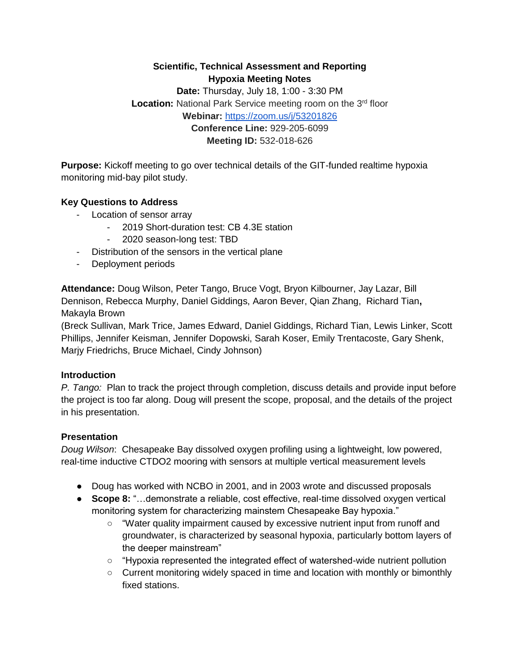### **Scientific, Technical Assessment and Reporting Hypoxia Meeting Notes**

**Date:** Thursday, July 18, 1:00 - 3:30 PM **Location:** National Park Service meeting room on the 3<sup>rd</sup> floor **Webinar:** <https://zoom.us/j/53201826> **Conference Line:** 929-205-6099 **Meeting ID:** 532-018-626

**Purpose:** Kickoff meeting to go over technical details of the GIT-funded realtime hypoxia monitoring mid-bay pilot study.

## **Key Questions to Address**

- Location of sensor array
	- 2019 Short-duration test: CB 4.3E station
	- 2020 season-long test: TBD
- Distribution of the sensors in the vertical plane
- Deployment periods

**Attendance:** Doug Wilson, Peter Tango, Bruce Vogt, Bryon Kilbourner, Jay Lazar, Bill Dennison, Rebecca Murphy, Daniel Giddings, Aaron Bever, Qian Zhang, Richard Tian**,**  Makayla Brown

(Breck Sullivan, Mark Trice, James Edward, Daniel Giddings, Richard Tian, Lewis Linker, Scott Phillips, Jennifer Keisman, Jennifer Dopowski, Sarah Koser, Emily Trentacoste, Gary Shenk, Marjy Friedrichs, Bruce Michael, Cindy Johnson)

#### **Introduction**

*P. Tango:*Plan to track the project through completion, discuss details and provide input before the project is too far along. Doug will present the scope, proposal, and the details of the project in his presentation.

#### **Presentation**

*Doug Wilson*: Chesapeake Bay dissolved oxygen profiling using a lightweight, low powered, real-time inductive CTDO2 mooring with sensors at multiple vertical measurement levels

- Doug has worked with NCBO in 2001, and in 2003 wrote and discussed proposals
- **Scope 8:** "…demonstrate a reliable, cost effective, real-time dissolved oxygen vertical monitoring system for characterizing mainstem Chesapeake Bay hypoxia."
	- "Water quality impairment caused by excessive nutrient input from runoff and groundwater, is characterized by seasonal hypoxia, particularly bottom layers of the deeper mainstream"
	- "Hypoxia represented the integrated effect of watershed-wide nutrient pollution
	- Current monitoring widely spaced in time and location with monthly or bimonthly fixed stations.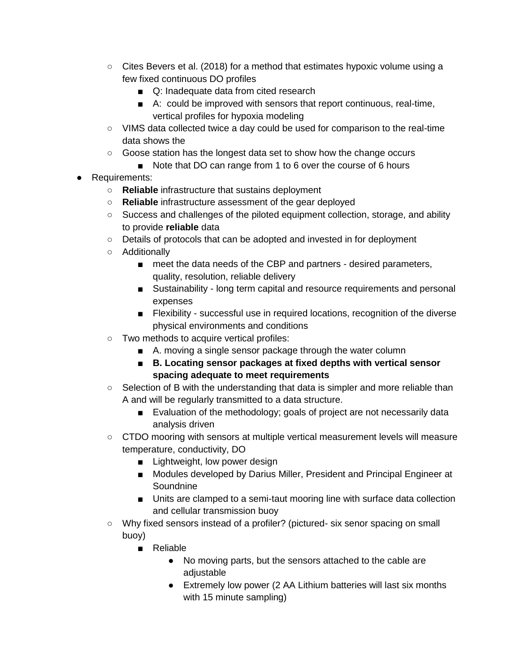- $\circ$  Cites Bevers et al. (2018) for a method that estimates hypoxic volume using a few fixed continuous DO profiles
	- Q: Inadequate data from cited research
	- A: could be improved with sensors that report continuous, real-time, vertical profiles for hypoxia modeling
- VIMS data collected twice a day could be used for comparison to the real-time data shows the
- Goose station has the longest data set to show how the change occurs
	- Note that DO can range from 1 to 6 over the course of 6 hours
- Requirements:
	- **Reliable** infrastructure that sustains deployment
	- **Reliable** infrastructure assessment of the gear deployed
	- Success and challenges of the piloted equipment collection, storage, and ability to provide **reliable** data
	- Details of protocols that can be adopted and invested in for deployment
	- Additionally
		- meet the data needs of the CBP and partners desired parameters, quality, resolution, reliable delivery
		- Sustainability long term capital and resource requirements and personal expenses
		- Flexibility successful use in required locations, recognition of the diverse physical environments and conditions
	- Two methods to acquire vertical profiles:
		- A. moving a single sensor package through the water column
		- **B. Locating sensor packages at fixed depths with vertical sensor spacing adequate to meet requirements**
	- Selection of B with the understanding that data is simpler and more reliable than A and will be regularly transmitted to a data structure.
		- Evaluation of the methodology; goals of project are not necessarily data analysis driven
	- CTDO mooring with sensors at multiple vertical measurement levels will measure temperature, conductivity, DO
		- Lightweight, low power design
		- Modules developed by Darius Miller, President and Principal Engineer at **Soundnine**
		- Units are clamped to a semi-taut mooring line with surface data collection and cellular transmission buoy
	- Why fixed sensors instead of a profiler? (pictured- six senor spacing on small buoy)
		- Reliable
			- No moving parts, but the sensors attached to the cable are adjustable
			- Extremely low power (2 AA Lithium batteries will last six months with 15 minute sampling)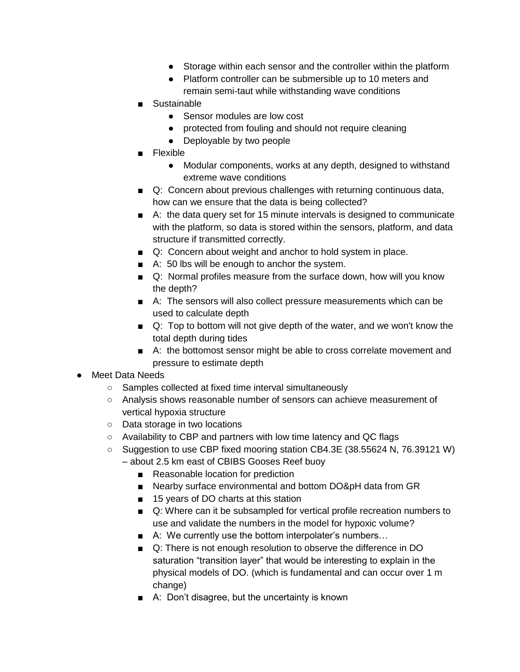- Storage within each sensor and the controller within the platform
- Platform controller can be submersible up to 10 meters and remain semi-taut while withstanding wave conditions
- Sustainable
	- Sensor modules are low cost
	- protected from fouling and should not require cleaning
	- Deployable by two people
- Flexible
	- Modular components, works at any depth, designed to withstand extreme wave conditions
- Q: Concern about previous challenges with returning continuous data, how can we ensure that the data is being collected?
- A: the data query set for 15 minute intervals is designed to communicate with the platform, so data is stored within the sensors, platform, and data structure if transmitted correctly.
- Q: Concern about weight and anchor to hold system in place.
- A: 50 lbs will be enough to anchor the system.
- Q: Normal profiles measure from the surface down, how will you know the depth?
- A: The sensors will also collect pressure measurements which can be used to calculate depth
- Q: Top to bottom will not give depth of the water, and we won't know the total depth during tides
- A: the bottomost sensor might be able to cross correlate movement and pressure to estimate depth
- Meet Data Needs
	- Samples collected at fixed time interval simultaneously
	- Analysis shows reasonable number of sensors can achieve measurement of vertical hypoxia structure
	- Data storage in two locations
	- Availability to CBP and partners with low time latency and QC flags
	- Suggestion to use CBP fixed mooring station CB4.3E (38.55624 N, 76.39121 W) – about 2.5 km east of CBIBS Gooses Reef buoy
		- Reasonable location for prediction
		- Nearby surface environmental and bottom DO&pH data from GR
		- 15 years of DO charts at this station
		- Q: Where can it be subsampled for vertical profile recreation numbers to use and validate the numbers in the model for hypoxic volume?
		- A: We currently use the bottom interpolater's numbers...
		- Q: There is not enough resolution to observe the difference in DO saturation "transition layer" that would be interesting to explain in the physical models of DO. (which is fundamental and can occur over 1 m change)
		- A: Don't disagree, but the uncertainty is known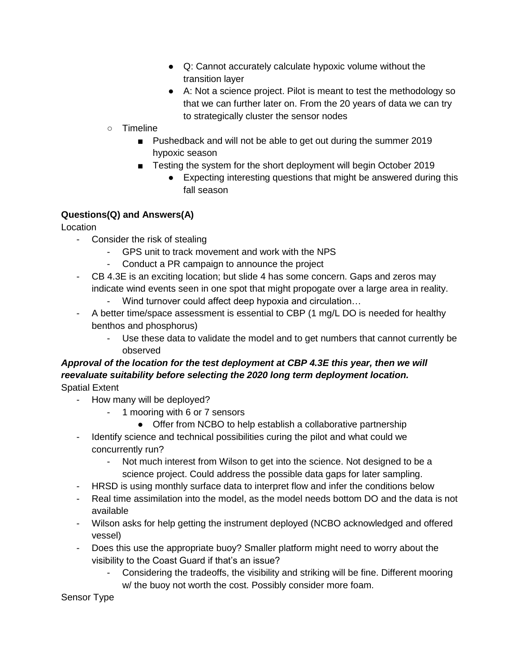- Q: Cannot accurately calculate hypoxic volume without the transition layer
- A: Not a science project. Pilot is meant to test the methodology so that we can further later on. From the 20 years of data we can try to strategically cluster the sensor nodes
- Timeline
	- Pushedback and will not be able to get out during the summer 2019 hypoxic season
	- Testing the system for the short deployment will begin October 2019
		- Expecting interesting questions that might be answered during this fall season

# **Questions(Q) and Answers(A)**

Location

- Consider the risk of stealing
	- GPS unit to track movement and work with the NPS
	- Conduct a PR campaign to announce the project
- CB 4.3E is an exciting location; but slide 4 has some concern. Gaps and zeros may indicate wind events seen in one spot that might propogate over a large area in reality.
	- Wind turnover could affect deep hypoxia and circulation…
- A better time/space assessment is essential to CBP (1 mg/L DO is needed for healthy benthos and phosphorus)
	- Use these data to validate the model and to get numbers that cannot currently be observed

## *Approval of the location for the test deployment at CBP 4.3E this year, then we will reevaluate suitability before selecting the 2020 long term deployment location.* Spatial Extent

- How many will be deployed?
	- 1 mooring with 6 or 7 sensors
		- Offer from NCBO to help establish a collaborative partnership
- Identify science and technical possibilities curing the pilot and what could we concurrently run?
	- Not much interest from Wilson to get into the science. Not designed to be a science project. Could address the possible data gaps for later sampling.
- HRSD is using monthly surface data to interpret flow and infer the conditions below
- Real time assimilation into the model, as the model needs bottom DO and the data is not available
- Wilson asks for help getting the instrument deployed (NCBO acknowledged and offered vessel)
- Does this use the appropriate buoy? Smaller platform might need to worry about the visibility to the Coast Guard if that's an issue?
	- Considering the tradeoffs, the visibility and striking will be fine. Different mooring w/ the buoy not worth the cost. Possibly consider more foam.

Sensor Type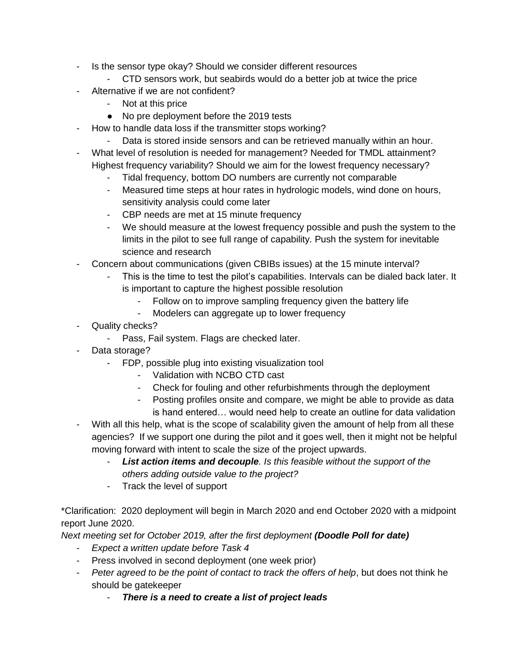- Is the sensor type okay? Should we consider different resources
	- CTD sensors work, but seabirds would do a better job at twice the price
- Alternative if we are not confident?
	- Not at this price
	- No pre deployment before the 2019 tests
- How to handle data loss if the transmitter stops working?
	- Data is stored inside sensors and can be retrieved manually within an hour.
- What level of resolution is needed for management? Needed for TMDL attainment? Highest frequency variability? Should we aim for the lowest frequency necessary?
	- Tidal frequency, bottom DO numbers are currently not comparable
	- Measured time steps at hour rates in hydrologic models, wind done on hours, sensitivity analysis could come later
	- CBP needs are met at 15 minute frequency
	- We should measure at the lowest frequency possible and push the system to the limits in the pilot to see full range of capability. Push the system for inevitable science and research
- Concern about communications (given CBIBs issues) at the 15 minute interval?
	- This is the time to test the pilot's capabilities. Intervals can be dialed back later. It is important to capture the highest possible resolution
		- Follow on to improve sampling frequency given the battery life
		- Modelers can aggregate up to lower frequency
- Quality checks?
	- Pass, Fail system. Flags are checked later.
- Data storage?
	- FDP, possible plug into existing visualization tool
		- Validation with NCBO CTD cast
		- Check for fouling and other refurbishments through the deployment
		- Posting profiles onsite and compare, we might be able to provide as data is hand entered… would need help to create an outline for data validation
- With all this help, what is the scope of scalability given the amount of help from all these agencies? If we support one during the pilot and it goes well, then it might not be helpful moving forward with intent to scale the size of the project upwards.
	- List action items and decouple. Is this feasible without the support of the *others adding outside value to the project?*
	- Track the level of support

\*Clarification: 2020 deployment will begin in March 2020 and end October 2020 with a midpoint report June 2020.

*Next meeting set for October 2019, after the first deployment (Doodle Poll for date)*

- *Expect a written update before Task 4*
- Press involved in second deployment (one week prior)
- *Peter agreed to be the point of contact to track the offers of help*, but does not think he should be gatekeeper
	- *There is a need to create a list of project leads*